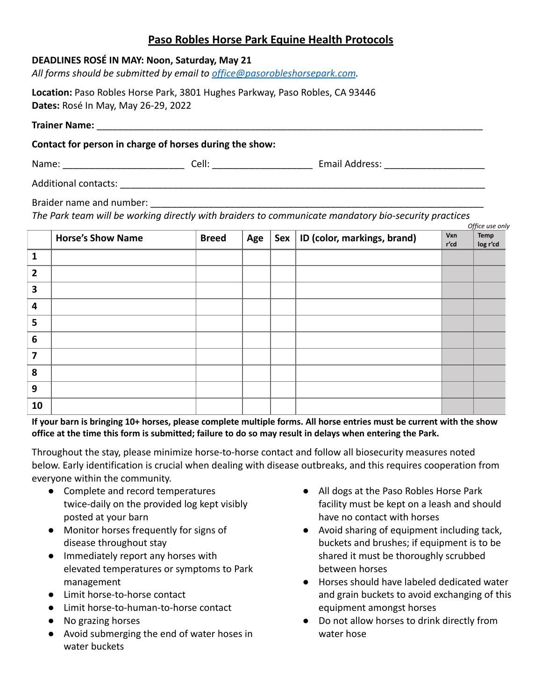## **Paso Robles Horse Park Equine Health Protocols**

*All forms should be submitted by email to [office@pasorobleshorsepark.com](mailto:office@pasorobleshorsepark.com).*

**Location:** Paso Robles Horse Park, 3801 Hughes Parkway, Paso Robles, CA 93446 **Dates:** Rosé In May, May 26-29, 2022

**Trainer Name:** \_\_\_\_\_\_\_\_\_\_\_\_\_\_\_\_\_\_\_\_\_\_\_\_\_\_\_\_\_\_\_\_\_\_\_\_\_\_\_\_\_\_\_\_\_\_\_\_\_\_\_\_\_\_\_\_\_\_\_\_\_\_\_\_\_\_\_\_\_\_\_\_\_

**Contact for person in charge of horses during the show:**

Name: \_\_\_\_\_\_\_\_\_\_\_\_\_\_\_\_\_\_\_\_\_\_\_ Cell: \_\_\_\_\_\_\_\_\_\_\_\_\_\_\_\_\_\_\_ Email Address: \_\_\_\_\_\_\_\_\_\_\_\_\_\_\_\_\_\_\_

Additional contacts: \_\_\_\_\_\_\_\_\_\_\_\_\_\_\_\_\_\_\_\_\_\_\_\_\_\_\_\_\_\_\_\_\_\_\_\_\_\_\_\_\_\_\_\_\_\_\_\_\_\_\_\_\_\_\_\_\_\_\_\_\_\_\_\_\_\_\_\_\_

Braider name and number:

*The Park team will be working directly with braiders to communicate mandatory bio-security practices*

|                         | Office use only          |              |     |  |                                   |             |                  |  |
|-------------------------|--------------------------|--------------|-----|--|-----------------------------------|-------------|------------------|--|
|                         | <b>Horse's Show Name</b> | <b>Breed</b> | Age |  | Sex   ID (color, markings, brand) | Vxn<br>r'cd | Temp<br>log r'cd |  |
| 1                       |                          |              |     |  |                                   |             |                  |  |
| $\overline{2}$          |                          |              |     |  |                                   |             |                  |  |
| 3                       |                          |              |     |  |                                   |             |                  |  |
| 4                       |                          |              |     |  |                                   |             |                  |  |
| 5                       |                          |              |     |  |                                   |             |                  |  |
| $6\phantom{1}6$         |                          |              |     |  |                                   |             |                  |  |
| $\overline{\mathbf{z}}$ |                          |              |     |  |                                   |             |                  |  |
| 8                       |                          |              |     |  |                                   |             |                  |  |
| 9                       |                          |              |     |  |                                   |             |                  |  |
| 10                      |                          |              |     |  |                                   |             |                  |  |

If your barn is bringing 10+ horses, please complete multiple forms. All horse entries must be current with the show office at the time this form is submitted; failure to do so may result in delays when entering the Park.

Throughout the stay, please minimize horse-to-horse contact and follow all biosecurity measures noted below. Early identification is crucial when dealing with disease outbreaks, and this requires cooperation from everyone within the community.

- Complete and record temperatures twice-daily on the provided log kept visibly posted at your barn
- Monitor horses frequently for signs of disease throughout stay
- Immediately report any horses with elevated temperatures or symptoms to Park management
- Limit horse-to-horse contact
- Limit horse-to-human-to-horse contact
- No grazing horses
- Avoid submerging the end of water hoses in water buckets
- All dogs at the Paso Robles Horse Park facility must be kept on a leash and should have no contact with horses
- Avoid sharing of equipment including tack, buckets and brushes; if equipment is to be shared it must be thoroughly scrubbed between horses
- Horses should have labeled dedicated water and grain buckets to avoid exchanging of this equipment amongst horses
- Do not allow horses to drink directly from water hose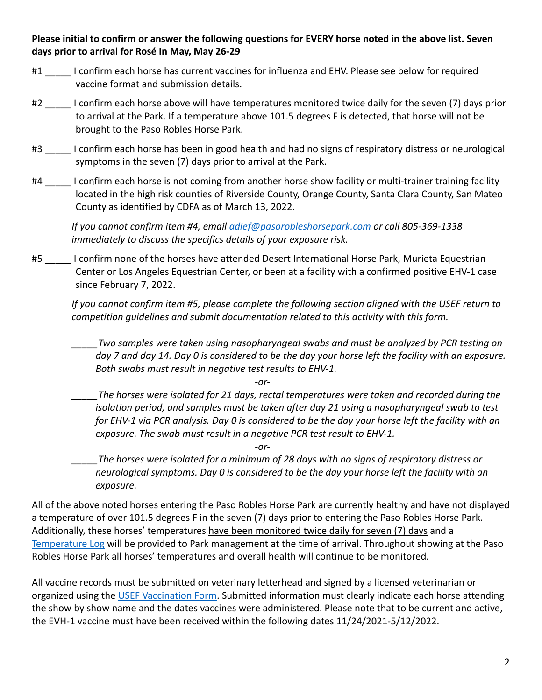## **Please initial to confirm or answer the following questions for EVERY horse noted in the above list. Seven days prior to arrival for Rosé In May, May 26-29**

- #1 I confirm each horse has current vaccines for influenza and EHV. Please see below for required vaccine format and submission details.
- #2 \_\_\_\_\_ I confirm each horse above will have temperatures monitored twice daily for the seven (7) days prior to arrival at the Park. If a temperature above 101.5 degrees F is detected, that horse will not be brought to the Paso Robles Horse Park.
- #3 \_\_\_\_\_ I confirm each horse has been in good health and had no signs of respiratory distress or neurological symptoms in the seven (7) days prior to arrival at the Park.
- #4 I confirm each horse is not coming from another horse show facility or multi-trainer training facility located in the high risk counties of Riverside County, Orange County, Santa Clara County, San Mateo County as identified by CDFA as of March 13, 2022.

*If you cannot confirm item #4, email [adief@pasorobleshorsepark.com](mailto:adief@pasorobleshorsepark.com) or call 805-369-1338 immediately to discuss the specifics details of your exposure risk.*

#5 \_\_\_\_\_ I confirm none of the horses have attended Desert International Horse Park, Murieta Equestrian Center or Los Angeles Equestrian Center, or been at a facility with a confirmed positive EHV-1 case since February 7, 2022.

*If you cannot confirm item #5, please complete the following section aligned with the USEF return to competition guidelines and submit documentation related to this activity with this form.*

*\_\_\_\_\_Two samples were taken using nasopharyngeal swabs and must be analyzed by PCR testing on day 7 and day 14. Day 0 is considered to be the day your horse left the facility with an exposure. Both swabs must result in negative test results to EHV-1.*

*-or-*

*-or-*

*\_\_\_\_\_The horses were isolated for 21 days, rectal temperatures were taken and recorded during the isolation period, and samples must be taken after day 21 using a nasopharyngeal swab to test for EHV-1 via PCR analysis. Day 0 is considered to be the day your horse left the facility with an exposure. The swab must result in a negative PCR test result to EHV-1.*

*\_\_\_\_\_The horses were isolated for a minimum of 28 days with no signs of respiratory distress or neurological symptoms. Day 0 is considered to be the day your horse left the facility with an exposure.*

All of the above noted horses entering the Paso Robles Horse Park are currently healthy and have not displayed a temperature of over 101.5 degrees F in the seven (7) days prior to entering the Paso Robles Horse Park. Additionally, these horses' temperatures have been monitored twice daily for seven (7) days and a [Temperature Log](https://pasorobleshorsepark.com/wp-content/uploads/2022/03/Temp-log.pdf) will be provided to Park management at the time of arrival. Throughout showing at the Paso Robles Horse Park all horses' temperatures and overall health will continue to be monitored.

All vaccine records must be submitted on veterinary letterhead and signed by a licensed veterinarian or organized using the [USEF Vaccination Form](https://www.usef.org/forms-pubs/xUbu-pT8eLM/equine-vaccination-record). Submitted information must clearly indicate each horse attending the show by show name and the dates vaccines were administered. Please note that to be current and active, the EVH-1 vaccine must have been received within the following dates 11/24/2021-5/12/2022.